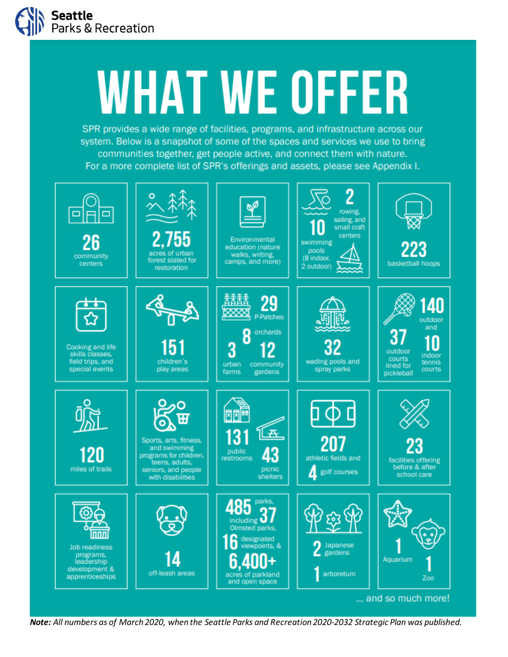

## **WHAT WE OFFER**

SPR provides a wide range of facilities, programs, and infrastructure across our system. Below is a snapshot of some of the spaces and services we use to bring communities together, get people active, and connect them with nature. For a more complete list of SPR's offerings and assets, please see Appendix I.



*Note: All numbers as of March 2020, when the Seattle Parks and Recreation 2020-2032 Strategic Plan was published.*